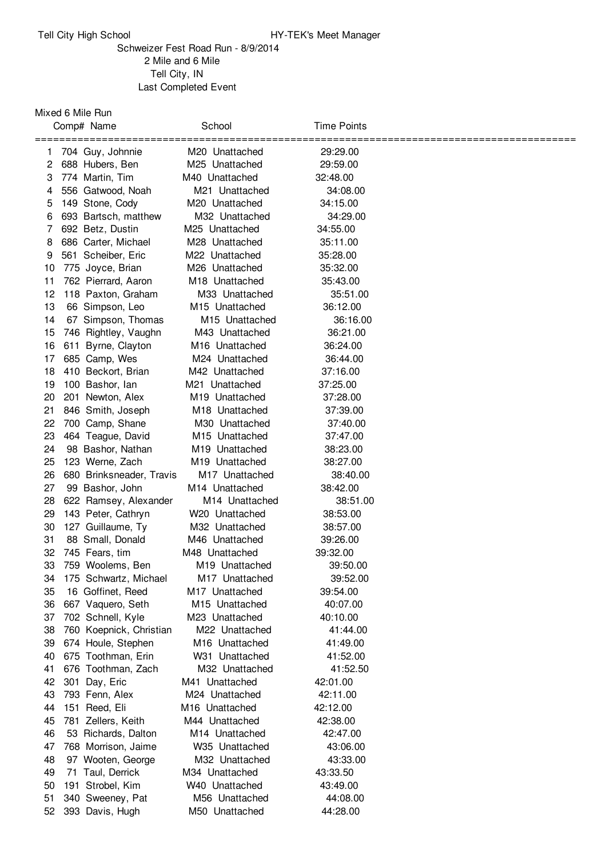## Schweizer Fest Road Run - 8/9/2014 Mile and 6 Mile Tell City, IN Last Completed Event

## Mixed 6 Mile Run

|    | Comp# Name               | School                     | Time Points |  |
|----|--------------------------|----------------------------|-------------|--|
|    | ==========               | =========                  | ======      |  |
| 1  | 704 Guy, Johnnie         | M <sub>20</sub> Unattached | 29:29.00    |  |
| 2  | 688 Hubers, Ben          | M25 Unattached             | 29:59.00    |  |
| 3  | 774 Martin, Tim          | M40 Unattached             | 32:48.00    |  |
| 4  | 556 Gatwood, Noah        | M21 Unattached             | 34:08.00    |  |
| 5  | 149 Stone, Cody          | M20 Unattached             | 34:15.00    |  |
| 6  | 693 Bartsch, matthew     | M32 Unattached             | 34:29.00    |  |
| 7  | 692 Betz, Dustin         | M <sub>25</sub> Unattached | 34:55.00    |  |
| 8  | 686 Carter, Michael      | M28 Unattached             | 35:11.00    |  |
| 9  | 561 Scheiber, Eric       | M22 Unattached             | 35:28.00    |  |
| 10 | 775 Joyce, Brian         | M26 Unattached             | 35:32.00    |  |
| 11 | 762 Pierrard, Aaron      | M18 Unattached             | 35:43.00    |  |
| 12 | 118 Paxton, Graham       | M33 Unattached             | 35:51.00    |  |
| 13 | 66 Simpson, Leo          | M <sub>15</sub> Unattached | 36:12.00    |  |
| 14 | 67 Simpson, Thomas       | M <sub>15</sub> Unattached | 36:16.00    |  |
| 15 | 746 Rightley, Vaughn     | M43 Unattached             | 36:21.00    |  |
| 16 | 611 Byrne, Clayton       | M <sub>16</sub> Unattached | 36:24.00    |  |
| 17 | 685 Camp, Wes            | M24 Unattached             | 36:44.00    |  |
| 18 | 410 Beckort, Brian       | M42 Unattached             | 37:16.00    |  |
| 19 | 100 Bashor, lan          | M21 Unattached             | 37:25.00    |  |
| 20 | 201 Newton, Alex         | M19 Unattached             | 37:28.00    |  |
| 21 | 846 Smith, Joseph        | M18 Unattached             | 37:39.00    |  |
| 22 | 700 Camp, Shane          | M30 Unattached             | 37:40.00    |  |
| 23 | 464 Teague, David        | M <sub>15</sub> Unattached | 37:47.00    |  |
| 24 | 98 Bashor, Nathan        | M <sub>19</sub> Unattached | 38:23.00    |  |
| 25 | 123 Werne, Zach          | M <sub>19</sub> Unattached | 38:27.00    |  |
| 26 | 680 Brinksneader, Travis | M17 Unattached             | 38:40.00    |  |
| 27 | 99 Bashor, John          | M <sub>14</sub> Unattached | 38:42.00    |  |
| 28 | 622 Ramsey, Alexander    | M <sub>14</sub> Unattached | 38:51.00    |  |
| 29 | 143 Peter, Cathryn       | W <sub>20</sub> Unattached | 38:53.00    |  |
| 30 | 127 Guillaume, Ty        | M32 Unattached             | 38:57.00    |  |
| 31 | 88 Small, Donald         | M46 Unattached             | 39:26.00    |  |
| 32 | 745 Fears, tim           | M48 Unattached             | 39:32.00    |  |
| 33 | 759 Woolems, Ben         | M19 Unattached             | 39:50.00    |  |
| 34 | 175 Schwartz, Michael    | M <sub>17</sub> Unattached | 39:52.00    |  |
| 35 | 16 Goffinet, Reed        | M <sub>17</sub> Unattached | 39:54.00    |  |
| 36 | 667 Vaquero, Seth        | M15 Unattached             | 40:07.00    |  |
| 37 | 702 Schnell, Kyle        | M23 Unattached             | 40:10.00    |  |
| 38 | 760 Koepnick, Christian  | M22 Unattached             | 41:44.00    |  |
| 39 | 674 Houle, Stephen       | M <sub>16</sub> Unattached | 41:49.00    |  |
| 40 | 675 Toothman, Erin       | W31 Unattached             | 41:52.00    |  |
| 41 | 676 Toothman, Zach       | M32 Unattached             | 41:52.50    |  |
| 42 | 301 Day, Eric            | M41 Unattached             | 42:01.00    |  |
| 43 | 793 Fenn, Alex           | M24 Unattached             | 42:11.00    |  |
| 44 | 151 Reed, Eli            | M16 Unattached             | 42:12.00    |  |
| 45 | 781 Zellers, Keith       | M44 Unattached             | 42:38.00    |  |
| 46 | 53 Richards, Dalton      | M14 Unattached             | 42:47.00    |  |
| 47 | 768 Morrison, Jaime      | W35 Unattached             | 43:06.00    |  |
| 48 | 97 Wooten, George        | M32 Unattached             | 43:33.00    |  |
| 49 | 71 Taul, Derrick         | M34 Unattached             | 43:33.50    |  |
| 50 | 191 Strobel, Kim         | W <sub>40</sub> Unattached | 43:49.00    |  |
| 51 | 340 Sweeney, Pat         | M56 Unattached             | 44:08.00    |  |
| 52 | 393 Davis, Hugh          | M50 Unattached             | 44:28.00    |  |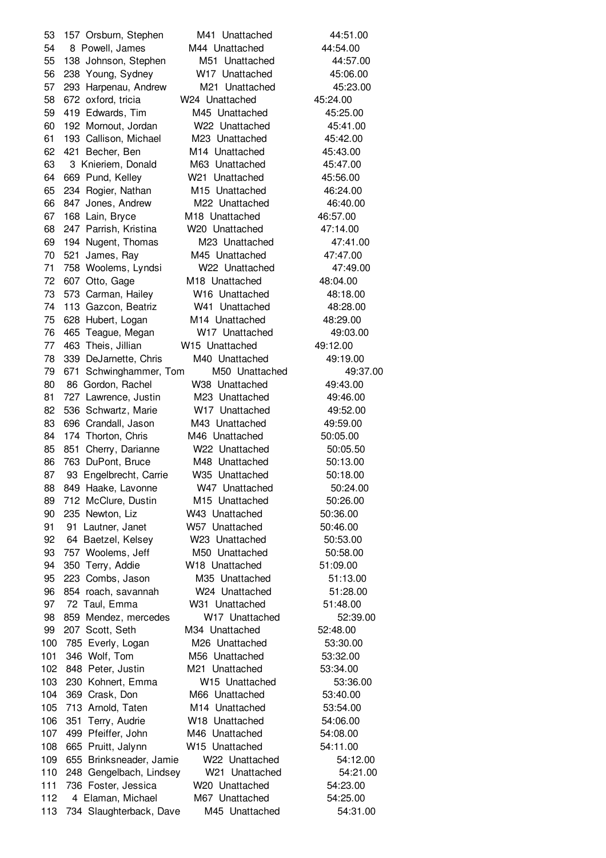157 Orsburn, Stephen M41 Unattached 44:51.00 54 8 Powell, James M44 Unattached 44:54.00 138 Johnson, Stephen M51 Unattached 44:57.00 238 Young, Sydney W17 Unattached 45:06.00 293 Harpenau, Andrew M21 Unattached 45:23.00 672 oxford, tricia W24 Unattached 45:24.00 419 Edwards, Tim M45 Unattached 45:25.00 192 Mornout, Jordan W22 Unattached 45:41.00 193 Callison, Michael M23 Unattached 45:42.00 421 Becher, Ben M14 Unattached 45:43.00 3 Knieriem, Donald M63 Unattached 45:47.00 669 Pund, Kelley W21 Unattached 45:56.00 234 Rogier, Nathan M15 Unattached 46:24.00 847 Jones, Andrew M22 Unattached 46:40.00 168 Lain, Bryce M18 Unattached 46:57.00 247 Parrish, Kristina W20 Unattached 47:14.00 194 Nugent, Thomas M23 Unattached 47:41.00 521 James, Ray M45 Unattached 47:47.00 758 Woolems, Lyndsi W22 Unattached 47:49.00 607 Otto, Gage M18 Unattached 48:04.00 573 Carman, Hailey W16 Unattached 48:18.00 113 Gazcon, Beatriz W41 Unattached 48:28.00 628 Hubert, Logan M14 Unattached 48:29.00 465 Teague, Megan W17 Unattached 49:03.00 463 Theis, Jillian W15 Unattached 49:12.00 339 DeJarnette, Chris M40 Unattached 49:19.00 671 Schwinghammer, Tom M50 Unattached 49:37.00 86 Gordon, Rachel W38 Unattached 49:43.00 727 Lawrence, Justin M23 Unattached 49:46.00 536 Schwartz, Marie W17 Unattached 49:52.00 696 Crandall, Jason M43 Unattached 49:59.00 84 174 Thorton, Chris M46 Unattached 50:05.00 85 851 Cherry, Darianne W22 Unattached 50:05.50 763 DuPont, Bruce M48 Unattached 50:13.00 87 93 Engelbrecht, Carrie W35 Unattached 50:18.00 88 849 Haake, Lavonne W47 Unattached 50:24.00 712 McClure, Dustin M15 Unattached 50:26.00 235 Newton, Liz W43 Unattached 50:36.00 91 Lautner, Janet W57 Unattached 50:46.00 64 Baetzel, Kelsey W23 Unattached 50:53.00 93 757 Woolems, Jeff M50 Unattached 50:58.00 350 Terry, Addie W18 Unattached 51:09.00 223 Combs, Jason M35 Unattached 51:13.00 854 roach, savannah W24 Unattached 51:28.00 72 Taul, Emma W31 Unattached 51:48.00 859 Mendez, mercedes W17 Unattached 52:39.00 207 Scott, Seth M34 Unattached 52:48.00 785 Everly, Logan M26 Unattached 53:30.00 346 Wolf, Tom M56 Unattached 53:32.00 848 Peter, Justin M21 Unattached 53:34.00 230 Kohnert, Emma W15 Unattached 53:36.00 369 Crask, Don M66 Unattached 53:40.00 713 Arnold, Taten M14 Unattached 53:54.00 351 Terry, Audrie W18 Unattached 54:06.00 499 Pfeiffer, John M46 Unattached 54:08.00 665 Pruitt, Jalynn W15 Unattached 54:11.00 655 Brinksneader, Jamie W22 Unattached 54:12.00 248 Gengelbach, Lindsey W21 Unattached 54:21.00 736 Foster, Jessica W20 Unattached 54:23.00 4 Elaman, Michael M67 Unattached 54:25.00 734 Slaughterback, Dave M45 Unattached 54:31.00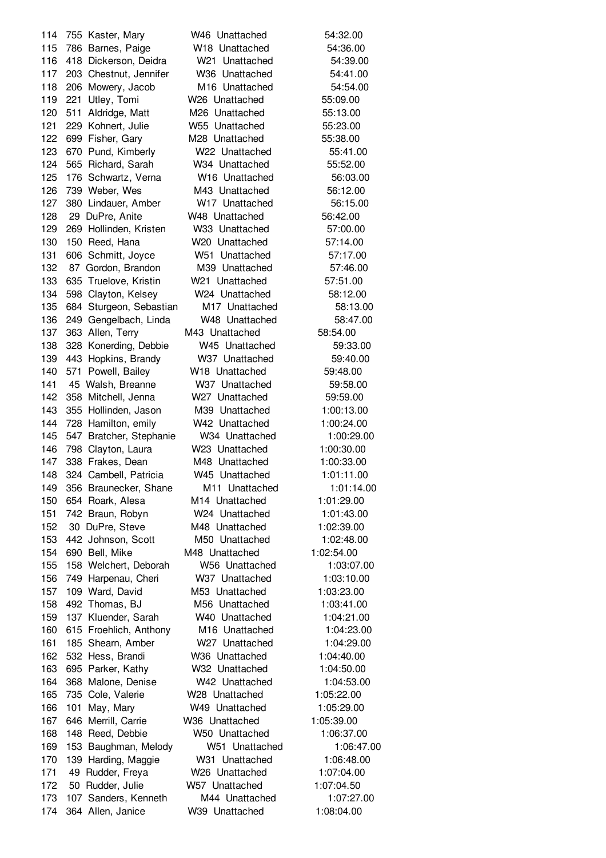755 Kaster, Mary W46 Unattached 54:32.00 786 Barnes, Paige W18 Unattached 54:36.00 418 Dickerson, Deidra W21 Unattached 54:39.00 203 Chestnut, Jennifer W36 Unattached 54:41.00 206 Mowery, Jacob M16 Unattached 54:54.00 221 Utley, Tomi W26 Unattached 55:09.00 511 Aldridge, Matt M26 Unattached 55:13.00 229 Kohnert, Julie W55 Unattached 55:23.00 699 Fisher, Gary M28 Unattached 55:38.00 670 Pund, Kimberly W22 Unattached 55:41.00 565 Richard, Sarah W34 Unattached 55:52.00 176 Schwartz, Verna W16 Unattached 56:03.00 739 Weber, Wes M43 Unattached 56:12.00 380 Lindauer, Amber W17 Unattached 56:15.00 29 DuPre, Anite W48 Unattached 56:42.00 269 Hollinden, Kristen W33 Unattached 57:00.00 150 Reed, Hana W20 Unattached 57:14.00 606 Schmitt, Joyce W51 Unattached 57:17.00 87 Gordon, Brandon M39 Unattached 57:46.00 635 Truelove, Kristin W21 Unattached 57:51.00 598 Clayton, Kelsey W24 Unattached 58:12.00 684 Sturgeon, Sebastian M17 Unattached 58:13.00 136 249 Gengelbach, Linda W48 Unattached 58:47.00 363 Allen, Terry M43 Unattached 58:54.00 328 Konerding, Debbie W45 Unattached 59:33.00 443 Hopkins, Brandy W37 Unattached 59:40.00 571 Powell, Bailey W18 Unattached 59:48.00 45 Walsh, Breanne W37 Unattached 59:58.00 358 Mitchell, Jenna W27 Unattached 59:59.00 355 Hollinden, Jason M39 Unattached 1:00:13.00 728 Hamilton, emily W42 Unattached 1:00:24.00 547 Bratcher, Stephanie W34 Unattached 1:00:29.00 798 Clayton, Laura W23 Unattached 1:00:30.00 338 Frakes, Dean M48 Unattached 1:00:33.00 324 Cambell, Patricia W45 Unattached 1:01:11.00 356 Braunecker, Shane M11 Unattached 1:01:14.00 654 Roark, Alesa M14 Unattached 1:01:29.00 742 Braun, Robyn W24 Unattached 1:01:43.00 30 DuPre, Steve M48 Unattached 1:02:39.00 442 Johnson, Scott M50 Unattached 1:02:48.00 690 Bell, Mike M48 Unattached 1:02:54.00 158 Welchert, Deborah W56 Unattached 1:03:07.00 749 Harpenau, Cheri W37 Unattached 1:03:10.00 109 Ward, David M53 Unattached 1:03:23.00 492 Thomas, BJ M56 Unattached 1:03:41.00 137 Kluender, Sarah W40 Unattached 1:04:21.00 615 Froehlich, Anthony M16 Unattached 1:04:23.00 185 Shearn, Amber W27 Unattached 1:04:29.00 532 Hess, Brandi W36 Unattached 1:04:40.00 695 Parker, Kathy W32 Unattached 1:04:50.00 368 Malone, Denise W42 Unattached 1:04:53.00 735 Cole, Valerie W28 Unattached 1:05:22.00 166 101 May, Mary W49 Unattached 1:05:29.00 646 Merrill, Carrie W36 Unattached 1:05:39.00 148 Reed, Debbie W50 Unattached 1:06:37.00 153 Baughman, Melody W51 Unattached 1:06:47.00 139 Harding, Maggie W31 Unattached 1:06:48.00 49 Rudder, Freya W26 Unattached 1:07:04.00 50 Rudder, Julie W57 Unattached 1:07:04.50 107 Sanders, Kenneth M44 Unattached 1:07:27.00 364 Allen, Janice W39 Unattached 1:08:04.00